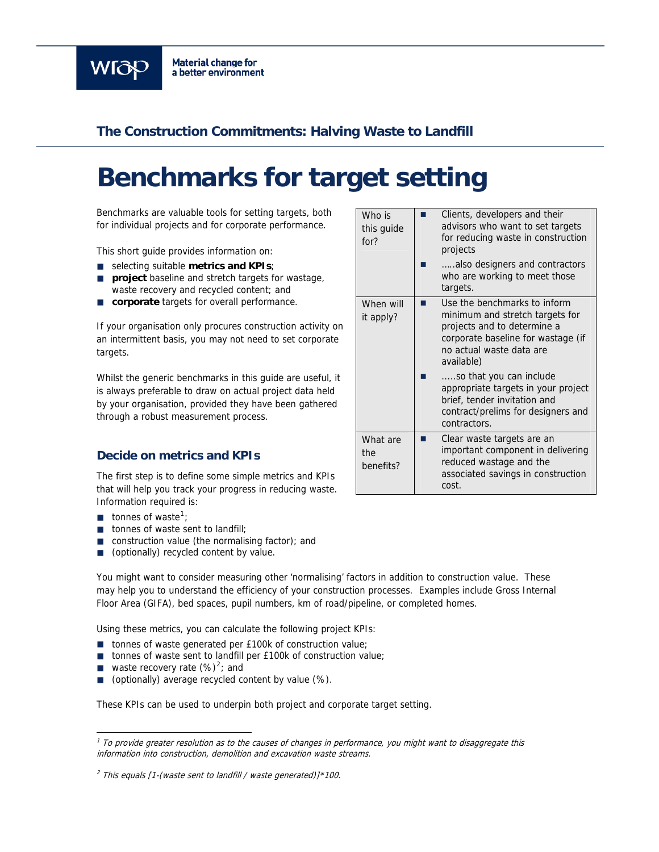

# **The Construction Commitments: Halving Waste to Landfill**

# **Benchmarks for target setting**

Benchmarks are valuable tools for setting targets, both for individual projects and for corporate performance.

This short guide provides information on:

- selecting suitable **metrics and KPIs**;
- **project** baseline and stretch targets for wastage, waste recovery and recycled content; and
- **corporate** targets for overall performance.

If your organisation only procures construction activity on an intermittent basis, you may not need to set corporate targets.

Whilst the generic benchmarks in this guide are useful, it is always preferable to draw on actual project data held by your organisation, provided they have been gathered through a robust measurement process.

## **Decide on metrics and KPIs**

The first step is to define some simple metrics and KPIs that will help you track your progress in reducing waste. Information required is:

- $\blacksquare$  tonnes of waste<sup>[1](#page-0-0)</sup>;
- $\blacksquare$  tonnes of waste sent to landfill:
- $\Box$  construction value (the normalising factor); and
- (optionally) recycled content by value.

You might want to consider measuring other 'normalising' factors in addition to construction value. These may help you to understand the efficiency of your construction processes. Examples include Gross Internal Floor Area (GIFA), bed spaces, pupil numbers, km of road/pipeline, or completed homes.

Using these metrics, you can calculate the following project KPIs:

- tonnes of waste generated per £100k of construction value;
- tonnes of waste sent to landfill per £100k of construction value;
- **u** waste recovery rate  $(\%)^2$  $(\%)^2$ ; and

ł

■ (optionally) average recycled content by value (%).

These KPIs can be used to underpin both project and corporate target setting.

<span id="page-0-0"></span> $1$  To provide greater resolution as to the causes of changes in performance, you might want to disaggregate this information into construction, demolition and excavation waste streams.

#### <span id="page-0-1"></span> $<sup>2</sup>$  This equals [1-(waste sent to landfill / waste generated)]\*100.</sup>

| Who is<br>this quide<br>for?  | Clients, developers and their<br>advisors who want to set targets<br>for reducing waste in construction<br>projects                                                            |
|-------------------------------|--------------------------------------------------------------------------------------------------------------------------------------------------------------------------------|
|                               | also designers and contractors<br>who are working to meet those<br>targets.                                                                                                    |
| When will<br>it apply?        | Use the benchmarks to inform<br>minimum and stretch targets for<br>projects and to determine a<br>corporate baseline for wastage (if<br>no actual waste data are<br>available) |
|                               | so that you can include<br>appropriate targets in your project<br>brief, tender invitation and<br>contract/prelims for designers and<br>contractors.                           |
| What are<br>the.<br>benefits? | Clear waste targets are an<br>important component in delivering<br>reduced wastage and the<br>associated savings in construction<br>cost.                                      |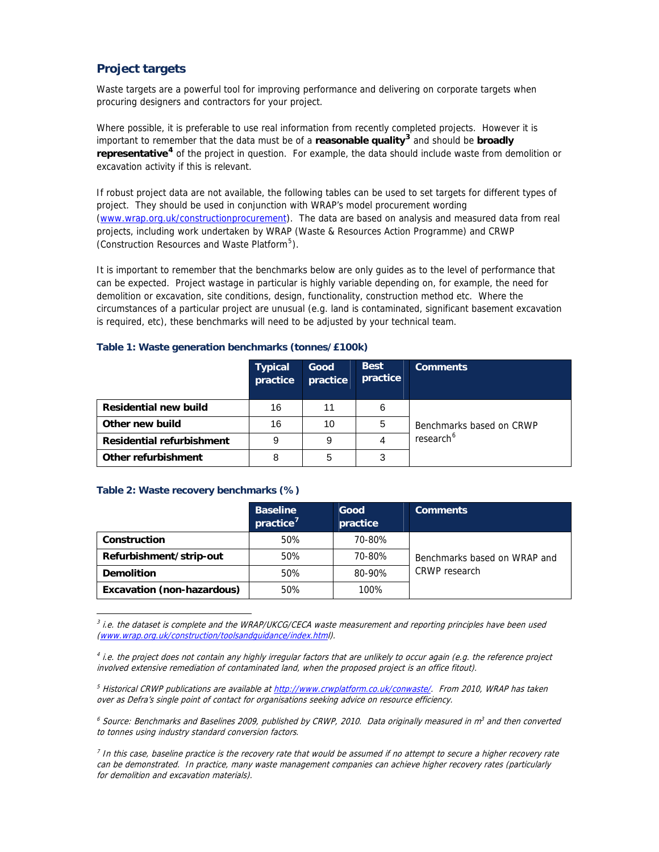# **Project targets**

Waste targets are a powerful tool for improving performance and delivering on corporate targets when procuring designers and contractors for your project.

Where possible, it is preferable to use real information from recently completed projects. However it is important to remember that the data must be of a **reasonable quality[3](#page-1-0)** and should be **broadly representative[4](#page-1-1)** of the project in question. For example, the data should include waste from demolition or excavation activity if this is relevant.

If robust project data are not available, the following tables can be used to set targets for different types of project. They should be used in conjunction with WRAP's model procurement wording [\(www.wrap.org.uk/constructionprocurement](http://www.wrap.org.uk/constructionprocurement)). The data are based on analysis and measured data from real projects, including work undertaken by WRAP (Waste & Resources Action Programme) and CRWP (Construction Resources and Waste Platform<sup>[5](#page-1-2)</sup>).

It is important to remember that the benchmarks below are only guides as to the level of performance that can be expected. Project wastage in particular is highly variable depending on, for example, the need for demolition or excavation, site conditions, design, functionality, construction method etc. Where the circumstances of a particular project are unusual (e.g. land is contaminated, significant basement excavation is required, etc), these benchmarks will need to be adjusted by your technical team.

#### **Table 1: Waste generation benchmarks (tonnes/£100k)**

|                                  | <b>Typical</b><br>practice | Good<br>practice | <b>Best</b><br>practice | <b>Comments</b>          |
|----------------------------------|----------------------------|------------------|-------------------------|--------------------------|
| <b>Residential new build</b>     | 16                         | 11               | 6                       |                          |
| Other new build                  | 16                         | 10               | 5                       | Benchmarks based on CRWP |
| <b>Residential refurbishment</b> | 9                          | 9                |                         | research <sup>6</sup>    |
| Other refurbishment              | 8                          | 5                | 3                       |                          |

#### **Table 2: Waste recovery benchmarks (%)**

ł

|                                   | <b>Baseline</b><br>practice <sup>7</sup> | Good<br>practice | <b>Comments</b>              |
|-----------------------------------|------------------------------------------|------------------|------------------------------|
| Construction                      | 50%                                      | 70-80%           |                              |
| Refurbishment/strip-out           | 50%                                      | 70-80%           | Benchmarks based on WRAP and |
| <b>Demolition</b>                 | 50%                                      | 80-90%           | CRWP research                |
| <b>Excavation (non-hazardous)</b> | 50%                                      | 100%             |                              |

<span id="page-1-0"></span> $3$  i.e. the dataset is complete and the WRAP/UKCG/CECA waste measurement and reporting principles have been used ([www.wrap.org.uk/construction/toolsandguidance/index.htm](http://www.wrap.org.uk/construction/toolsandguidance/index.htm)l).

<span id="page-1-3"></span> $^6$  Source: Benchmarks and Baselines 2009, published by CRWP, 2010. Data originally measured in  $m^3$  and then converted to tonnes using industry standard conversion factors.

<span id="page-1-4"></span> $^7$  In this case, baseline practice is the recovery rate that would be assumed if no attempt to secure a higher recovery rate can be demonstrated. In practice, many waste management companies can achieve higher recovery rates (particularly for demolition and excavation materials).

<span id="page-1-1"></span> $<sup>4</sup>$  i.e. the project does not contain any highly irregular factors that are unlikely to occur again (e.g. the reference project</sup> involved extensive remediation of contaminated land, when the proposed project is an office fitout).

<span id="page-1-2"></span><sup>5</sup> Historical CRWP publications are available at <http://www.crwplatform.co.uk/conwaste/>. From 2010, WRAP has taken over as Defra's single point of contact for organisations seeking advice on resource efficiency.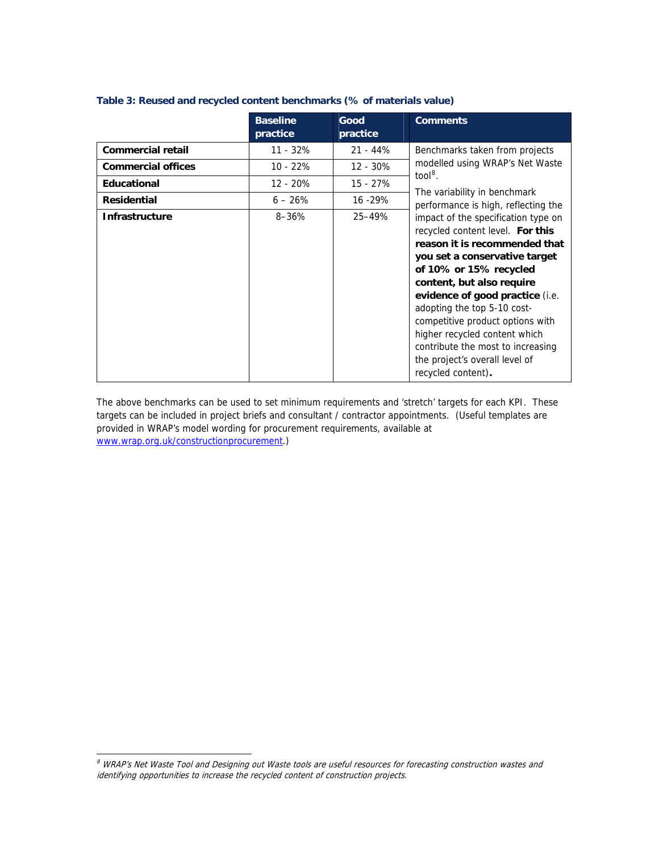|                           | <b>Baseline</b> | Good       | <b>Comments</b>                                                                                                                                                                                                                                                                                                                                                                                                                      |
|---------------------------|-----------------|------------|--------------------------------------------------------------------------------------------------------------------------------------------------------------------------------------------------------------------------------------------------------------------------------------------------------------------------------------------------------------------------------------------------------------------------------------|
|                           | practice        | practice   |                                                                                                                                                                                                                                                                                                                                                                                                                                      |
| <b>Commercial retail</b>  | $11 - 32%$      | $21 - 44%$ | Benchmarks taken from projects                                                                                                                                                                                                                                                                                                                                                                                                       |
| <b>Commercial offices</b> | $10 - 22%$      | $12 - 30%$ | modelled using WRAP's Net Waste                                                                                                                                                                                                                                                                                                                                                                                                      |
| Educational               | $12 - 20%$      | $15 - 27%$ | $\text{tool}^8$ .<br>The variability in benchmark<br>performance is high, reflecting the                                                                                                                                                                                                                                                                                                                                             |
| <b>Residential</b>        | $6 - 26%$       | 16 - 29%   |                                                                                                                                                                                                                                                                                                                                                                                                                                      |
| <b>Infrastructure</b>     | $8 - 36%$       | 25-49%     | impact of the specification type on<br>recycled content level. For this<br>reason it is recommended that<br>you set a conservative target<br>of 10% or 15% recycled<br>content, but also require<br>evidence of good practice (i.e.<br>adopting the top 5-10 cost-<br>competitive product options with<br>higher recycled content which<br>contribute the most to increasing<br>the project's overall level of<br>recycled content). |

### **Table 3: Reused and recycled content benchmarks (% of materials value)**

The above benchmarks can be used to set minimum requirements and 'stretch' targets for each KPI. These targets can be included in project briefs and consultant / contractor appointments. (Useful templates are provided in WRAP's model wording for procurement requirements, available at [www.wrap.org.uk/constructionprocurement.](http://www.wrap.org.uk/constructionprocurement))

j

<span id="page-2-0"></span><sup>&</sup>lt;sup>8</sup> WRAP's Net Waste Tool and Designing out Waste tools are useful resources for forecasting construction wastes and identifying opportunities to increase the recycled content of construction projects.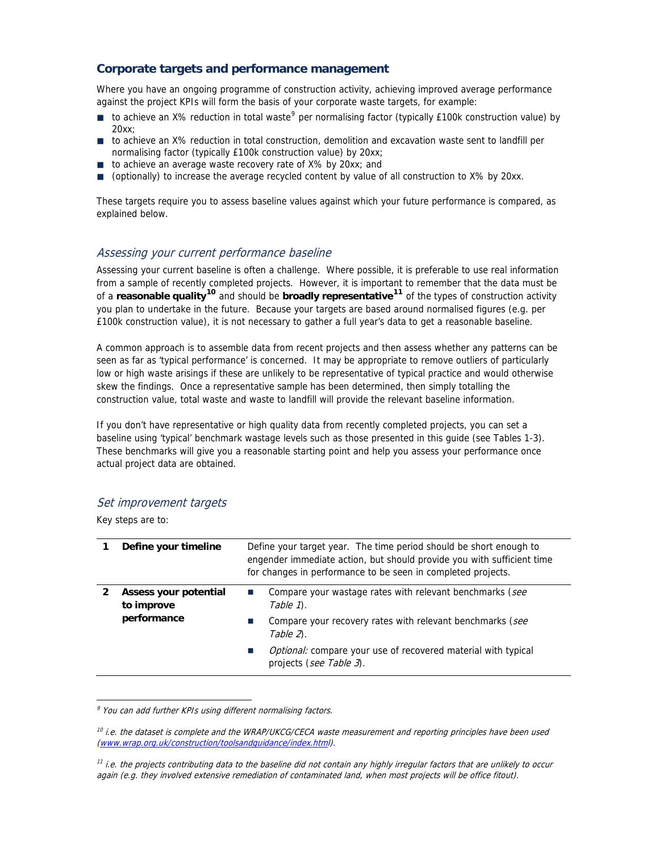# **Corporate targets and performance management**

Where you have an ongoing programme of construction activity, achieving improved average performance against the project KPIs will form the basis of your corporate waste targets, for example:

- $\blacksquare$  to achieve an X% reduction in total waste<sup>[9](#page-3-0)</sup> per normalising factor (typically £100k construction value) by  $20xy$
- to achieve an X% reduction in total construction, demolition and excavation waste sent to landfill per normalising factor (typically £100k construction value) by 20xx;
- to achieve an average waste recovery rate of X% by 20xx; and
- (optionally) to increase the average recycled content by value of all construction to X% by 20xx.

These targets require you to assess baseline values against which your future performance is compared, as explained below.

## Assessing your current performance baseline

Assessing your current baseline is often a challenge. Where possible, it is preferable to use real information from a sample of recently completed projects. However, it is important to remember that the data must be of a **reasonable quality[10](#page-3-1)** and should be **broadly representative[11](#page-3-2)** of the types of construction activity you plan to undertake in the future. Because your targets are based around normalised figures (e.g. per £100k construction value), it is not necessary to gather a full year's data to get a reasonable baseline.

A common approach is to assemble data from recent projects and then assess whether any patterns can be seen as far as 'typical performance' is concerned. It may be appropriate to remove outliers of particularly low or high waste arisings if these are unlikely to be representative of typical practice and would otherwise skew the findings. Once a representative sample has been determined, then simply totalling the construction value, total waste and waste to landfill will provide the relevant baseline information.

If you don't have representative or high quality data from recently completed projects, you can set a baseline using 'typical' benchmark wastage levels such as those presented in this guide (see Tables 1-3). These benchmarks will give you a reasonable starting point and help you assess your performance once actual project data are obtained.

## Set improvement targets

Key steps are to:

ł

| Define your timeline                               | Define your target year. The time period should be short enough to<br>engender immediate action, but should provide you with sufficient time<br>for changes in performance to be seen in completed projects.                              |  |
|----------------------------------------------------|-------------------------------------------------------------------------------------------------------------------------------------------------------------------------------------------------------------------------------------------|--|
| Assess your potential<br>to improve<br>performance | Compare your wastage rates with relevant benchmarks (see<br>Table 1.<br>Compare your recovery rates with relevant benchmarks (see<br>Table 2.<br>Optional: compare your use of recovered material with typical<br>projects (see Table 3). |  |

<span id="page-3-0"></span><sup>&</sup>lt;sup>9</sup> You can add further KPIs using different normalising factors.

<span id="page-3-1"></span> $10$  i.e. the dataset is complete and the WRAP/UKCG/CECA waste measurement and reporting principles have been used ([www.wrap.org.uk/construction/toolsandguidance/index.htm](http://www.wrap.org.uk/construction/toolsandguidance/index.htm)l).

<span id="page-3-2"></span> $11$  i.e. the projects contributing data to the baseline did not contain any highly irregular factors that are unlikely to occur again (e.g. they involved extensive remediation of contaminated land, when most projects will be office fitout).